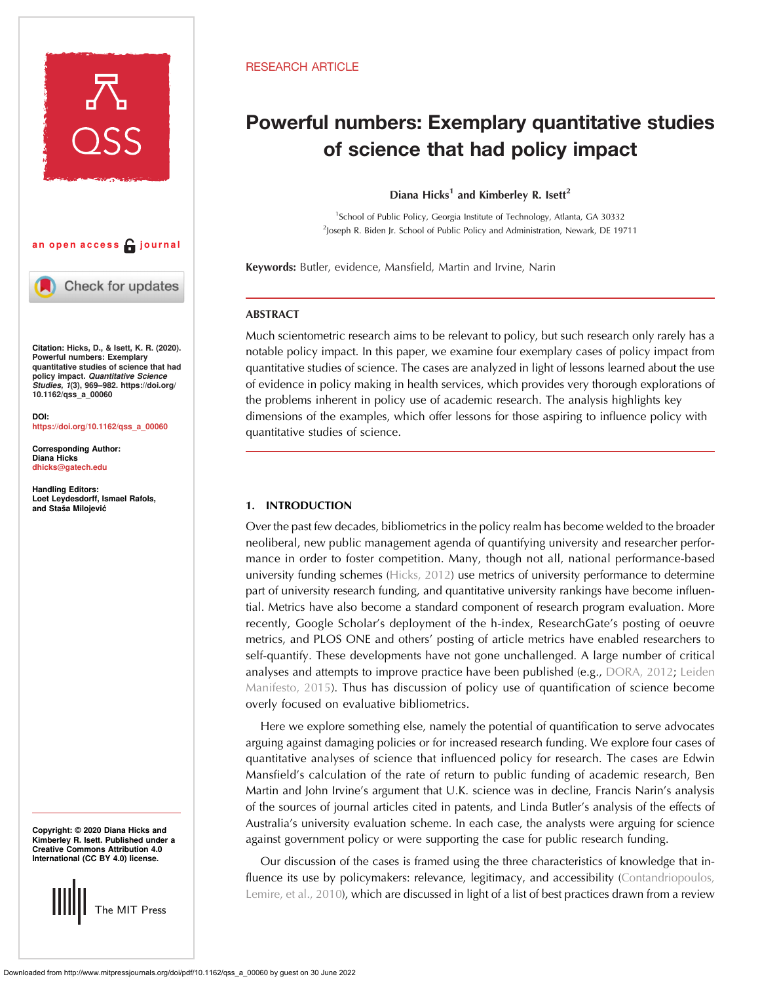



Check for updates

Citation: Hicks, D., & Isett, K. R. (2020). Powerful numbers: Exemplary quantitative studies of science that had policy impact. Quantitative Science Studies, 1(3), 969–982. [https://doi.org/](https://doi.org/10.1162/qss_a_00060) [10.1162/qss\\_a\\_00060](https://doi.org/10.1162/qss_a_00060)

DOI: [https://doi.org/10.1162/qss\\_a\\_00060](https://doi.org/10.1162/qss_a_00060)

Corresponding Author: Diana Hicks [dhicks@gatech.edu](mailto:dhicks@gatech.edu)

Handling Editors: Loet Leydesdorff, Ismael Rafols, and Staša Milojević

Copyright: © 2020 Diana Hicks and Kimberley R. Isett. Published under a Creative Commons Attribution 4.0 International (CC BY 4.0) license.



## **RESEARCH ARTICLE**

# Powerful numbers: Exemplary quantitative studies of science that had policy impact

Diana Hicks<sup>1</sup> and Kimberley R. Isett<sup>2</sup>

<sup>1</sup>School of Public Policy, Georgia Institute of Technology, Atlanta, GA 30332 <sup>2</sup>Joseph R. Biden Jr. School of Public Policy and Administration, Newark, DE 19711

Keywords: Butler, evidence, Mansfield, Martin and Irvine, Narin

## ABSTRACT

Much scientometric research aims to be relevant to policy, but such research only rarely has a notable policy impact. In this paper, we examine four exemplary cases of policy impact from quantitative studies of science. The cases are analyzed in light of lessons learned about the use of evidence in policy making in health services, which provides very thorough explorations of the problems inherent in policy use of academic research. The analysis highlights key dimensions of the examples, which offer lessons for those aspiring to influence policy with quantitative studies of science.

# 1. INTRODUCTION

Over the past few decades, bibliometrics in the policy realm has become welded to the broader neoliberal, new public management agenda of quantifying university and researcher performance in order to foster competition. Many, though not all, national performance-based university funding schemes ([Hicks, 2012](#page-12-0)) use metrics of university performance to determine part of university research funding, and quantitative university rankings have become influential. Metrics have also become a standard component of research program evaluation. More recently, Google Scholar's deployment of the h-index, ResearchGate's posting of oeuvre metrics, and PLOS ONE and others' posting of article metrics have enabled researchers to self-quantify. These developments have not gone unchallenged. A large number of critical analyses and attempts to improve practice have been published (e.g., [DORA, 2012;](#page-11-0) [Leiden](#page-12-0) [Manifesto, 2015\)](#page-12-0). Thus has discussion of policy use of quantification of science become overly focused on evaluative bibliometrics.

Here we explore something else, namely the potential of quantification to serve advocates arguing against damaging policies or for increased research funding. We explore four cases of quantitative analyses of science that influenced policy for research. The cases are Edwin Mansfield's calculation of the rate of return to public funding of academic research, Ben Martin and John Irvine's argument that U.K. science was in decline, Francis Narin's analysis of the sources of journal articles cited in patents, and Linda Butler's analysis of the effects of Australia's university evaluation scheme. In each case, the analysts were arguing for science against government policy or were supporting the case for public research funding.

Our discussion of the cases is framed using the three characteristics of knowledge that in-fluence its use by policymakers: relevance, legitimacy, and accessibility ([Contandriopoulos,](#page-12-0) [Lemire, et al., 2010\)](#page-12-0), which are discussed in light of a list of best practices drawn from a review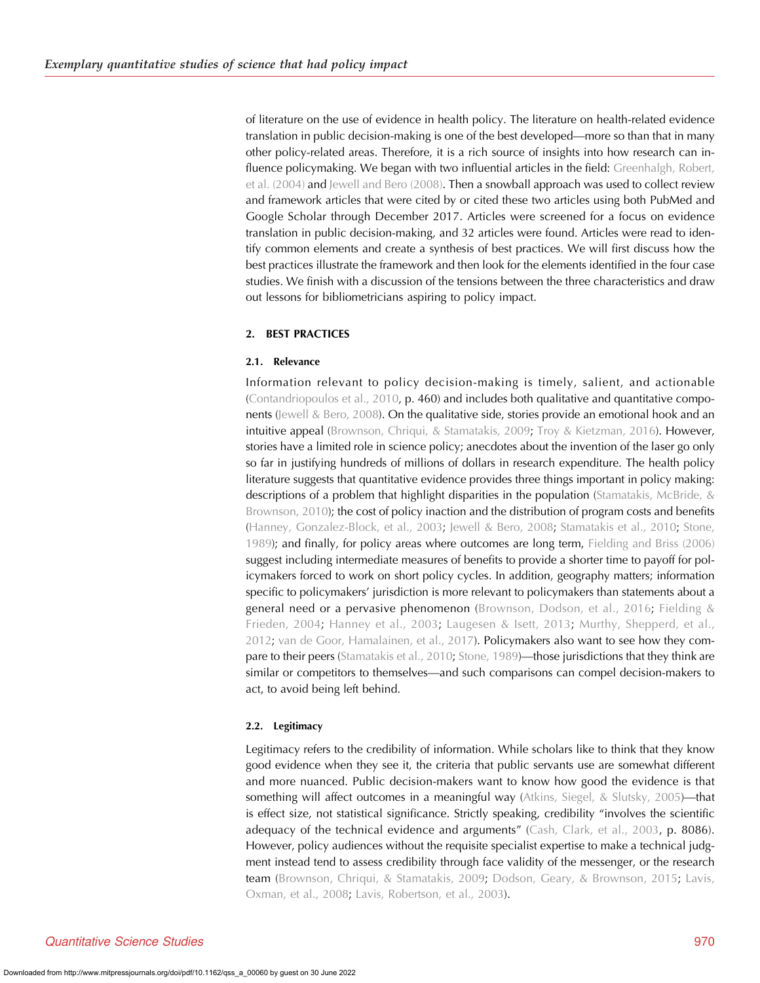of literature on the use of evidence in health policy. The literature on health-related evidence translation in public decision-making is one of the best developed—more so than that in many other policy-related areas. Therefore, it is a rich source of insights into how research can in-fluence policymaking. We began with two influential articles in the field: [Greenhalgh, Robert,](#page-12-0) [et al. \(2004\)](#page-12-0) and [Jewell and Bero \(2008\).](#page-12-0) Then a snowball approach was used to collect review and framework articles that were cited by or cited these two articles using both PubMed and Google Scholar through December 2017. Articles were screened for a focus on evidence translation in public decision-making, and 32 articles were found. Articles were read to identify common elements and create a synthesis of best practices. We will first discuss how the best practices illustrate the framework and then look for the elements identified in the four case studies. We finish with a discussion of the tensions between the three characteristics and draw out lessons for bibliometricians aspiring to policy impact.

#### 2. BEST PRACTICES

#### 2.1. Relevance

Information relevant to policy decision-making is timely, salient, and actionable ([Contandriopoulos et al., 2010](#page-12-0), p. 460) and includes both qualitative and quantitative components [\(Jewell & Bero, 2008](#page-12-0)). On the qualitative side, stories provide an emotional hook and an intuitive appeal [\(Brownson, Chriqui, & Stamatakis, 2009](#page-12-0); [Troy & Kietzman, 2016](#page-13-0)). However, stories have a limited role in science policy; anecdotes about the invention of the laser go only so far in justifying hundreds of millions of dollars in research expenditure. The health policy literature suggests that quantitative evidence provides three things important in policy making: descriptions of a problem that highlight disparities in the population (Stamatakis, McBride,  $\&$ [Brownson, 2010](#page-13-0)); the cost of policy inaction and the distribution of program costs and benefits ([Hanney, Gonzalez-Block, et al., 2003;](#page-12-0) [Jewell & Bero, 2008;](#page-12-0) [Stamatakis et al., 2010](#page-13-0); [Stone,](#page-13-0) [1989\)](#page-13-0); and finally, for policy areas where outcomes are long term, [Fielding and Briss \(2006\)](#page-12-0) suggest including intermediate measures of benefits to provide a shorter time to payoff for policymakers forced to work on short policy cycles. In addition, geography matters; information specific to policymakers' jurisdiction is more relevant to policymakers than statements about a general need or a pervasive phenomenon ([Brownson, Dodson, et al., 2016;](#page-12-0) [Fielding &](#page-12-0) [Frieden, 2004;](#page-12-0) [Hanney et al., 2003](#page-12-0); [Laugesen & Isett, 2013](#page-12-0); [Murthy, Shepperd, et al.,](#page-13-0) [2012;](#page-13-0) [van de Goor, Hamalainen, et al., 2017\)](#page-13-0). Policymakers also want to see how they com-pare to their peers ([Stamatakis et al., 2010;](#page-13-0) [Stone, 1989\)](#page-13-0)—those jurisdictions that they think are similar or competitors to themselves—and such comparisons can compel decision-makers to act, to avoid being left behind.

#### 2.2. Legitimacy

Legitimacy refers to the credibility of information. While scholars like to think that they know good evidence when they see it, the criteria that public servants use are somewhat different and more nuanced. Public decision-makers want to know how good the evidence is that something will affect outcomes in a meaningful way ([Atkins, Siegel, & Slutsky, 2005\)](#page-11-0)—that is effect size, not statistical significance. Strictly speaking, credibility "involves the scientific adequacy of the technical evidence and arguments" ([Cash, Clark, et al., 2003](#page-12-0), p. 8086). However, policy audiences without the requisite specialist expertise to make a technical judgment instead tend to assess credibility through face validity of the messenger, or the research team [\(Brownson, Chriqui, & Stamatakis, 2009;](#page-12-0) [Dodson, Geary, & Brownson, 2015](#page-12-0); [Lavis,](#page-12-0) [Oxman, et al., 2008;](#page-12-0) [Lavis, Robertson, et al., 2003](#page-12-0)).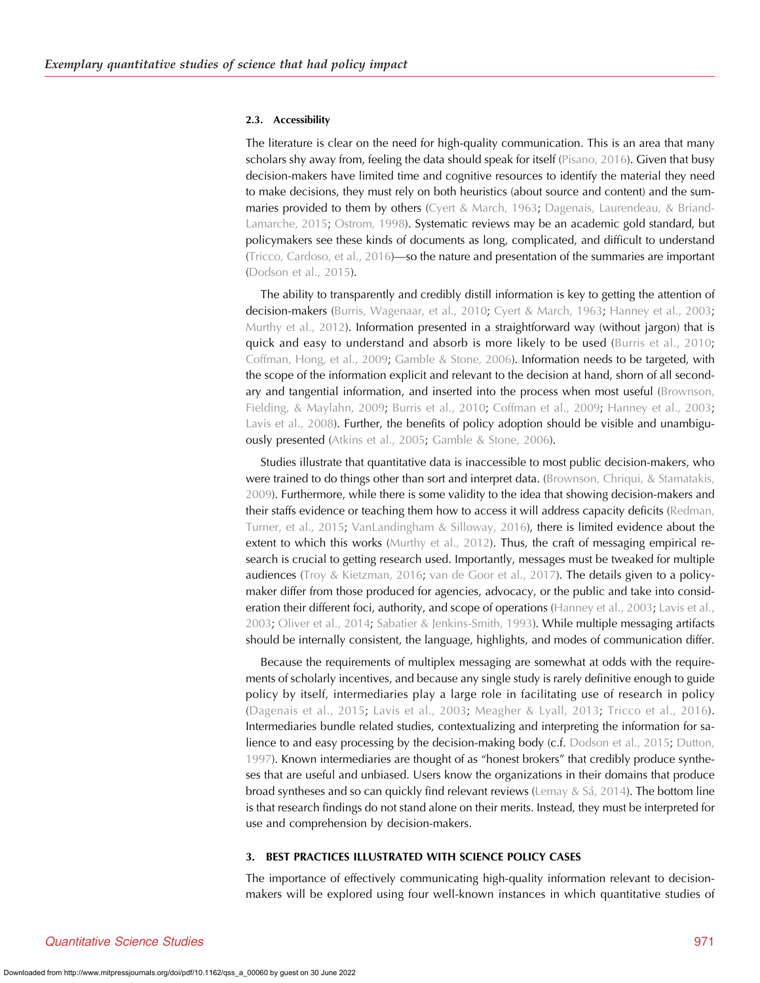#### 2.3. Accessibility

The literature is clear on the need for high-quality communication. This is an area that many scholars shy away from, feeling the data should speak for itself ([Pisano, 2016](#page-13-0)). Given that busy decision-makers have limited time and cognitive resources to identify the material they need to make decisions, they must rely on both heuristics (about source and content) and the sum-maries provided to them by others ([Cyert & March, 1963](#page-12-0); [Dagenais, Laurendeau, & Briand-](#page-12-0)[Lamarche, 2015](#page-12-0); [Ostrom, 1998](#page-13-0)). Systematic reviews may be an academic gold standard, but policymakers see these kinds of documents as long, complicated, and difficult to understand ([Tricco, Cardoso, et al., 2016](#page-13-0))—so the nature and presentation of the summaries are important ([Dodson et al., 2015\)](#page-12-0).

The ability to transparently and credibly distill information is key to getting the attention of decision-makers [\(Burris, Wagenaar, et al., 2010;](#page-12-0) [Cyert & March, 1963;](#page-12-0) [Hanney et al., 2003](#page-12-0); [Murthy et al., 2012](#page-13-0)). Information presented in a straightforward way (without jargon) that is quick and easy to understand and absorb is more likely to be used [\(Burris et al., 2010](#page-12-0); [Coffman, Hong, et al., 2009;](#page-12-0) [Gamble & Stone, 2006](#page-12-0)). Information needs to be targeted, with the scope of the information explicit and relevant to the decision at hand, shorn of all secondary and tangential information, and inserted into the process when most useful ([Brownson,](#page-12-0) [Fielding, & Maylahn, 2009](#page-12-0); [Burris et al., 2010](#page-12-0); [Coffman et al., 2009;](#page-12-0) [Hanney et al., 2003](#page-12-0); [Lavis et al., 2008\)](#page-12-0). Further, the benefits of policy adoption should be visible and unambiguously presented [\(Atkins et al., 2005;](#page-11-0) [Gamble & Stone, 2006\)](#page-12-0).

Studies illustrate that quantitative data is inaccessible to most public decision-makers, who were trained to do things other than sort and interpret data. [\(Brownson, Chriqui, & Stamatakis,](#page-12-0) [2009\)](#page-12-0). Furthermore, while there is some validity to the idea that showing decision-makers and their staffs evidence or teaching them how to access it will address capacity deficits ([Redman,](#page-13-0) Turner, et al., 2015, [VanLandingham & Silloway, 2016](#page-13-0)), there is limited evidence about the extent to which this works [\(Murthy et al., 2012\)](#page-13-0). Thus, the craft of messaging empirical research is crucial to getting research used. Importantly, messages must be tweaked for multiple audiences ([Troy & Kietzman, 2016;](#page-13-0) [van de Goor et al., 2017](#page-13-0)). The details given to a policymaker differ from those produced for agencies, advocacy, or the public and take into consid-eration their different foci, authority, and scope of operations [\(Hanney et al., 2003](#page-12-0); [Lavis et al.,](#page-12-0) [2003;](#page-12-0) [Oliver et al., 2014](#page-13-0); [Sabatier & Jenkins-Smith, 1993](#page-13-0)). While multiple messaging artifacts should be internally consistent, the language, highlights, and modes of communication differ.

Because the requirements of multiplex messaging are somewhat at odds with the requirements of scholarly incentives, and because any single study is rarely definitive enough to guide policy by itself, intermediaries play a large role in facilitating use of research in policy ([Dagenais et al., 2015](#page-12-0); [Lavis et al., 2003](#page-12-0); [Meagher & Lyall, 2013](#page-13-0); [Tricco et al., 2016\)](#page-13-0). Intermediaries bundle related studies, contextualizing and interpreting the information for sa-lience to and easy processing by the decision-making body (c.f. [Dodson et al., 2015;](#page-12-0) [Dutton,](#page-12-0) [1997\)](#page-12-0). Known intermediaries are thought of as "honest brokers" that credibly produce syntheses that are useful and unbiased. Users know the organizations in their domains that produce broad syntheses and so can quickly find relevant reviews [\(Lemay & Sá, 2014\)](#page-12-0). The bottom line is that research findings do not stand alone on their merits. Instead, they must be interpreted for use and comprehension by decision-makers.

## 3. BEST PRACTICES ILLUSTRATED WITH SCIENCE POLICY CASES

The importance of effectively communicating high-quality information relevant to decisionmakers will be explored using four well-known instances in which quantitative studies of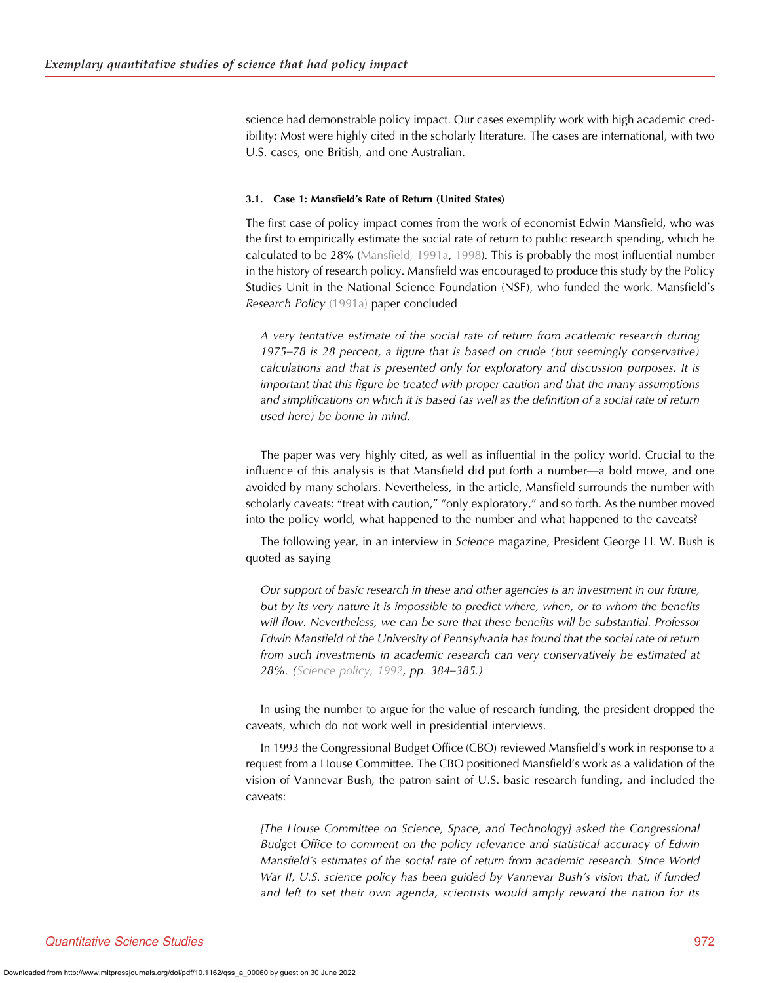science had demonstrable policy impact. Our cases exemplify work with high academic credibility: Most were highly cited in the scholarly literature. The cases are international, with two U.S. cases, one British, and one Australian.

#### 3.1. Case 1: Mansfield's Rate of Return (United States)

The first case of policy impact comes from the work of economist Edwin Mansfield, who was the first to empirically estimate the social rate of return to public research spending, which he calculated to be 28% ([Mansfield, 1991a](#page-12-0), [1998\)](#page-13-0). This is probably the most influential number in the history of research policy. Mansfield was encouraged to produce this study by the Policy Studies Unit in the National Science Foundation (NSF), who funded the work. Mansfield's Research Policy [\(1991a\)](#page-12-0) paper concluded

A very tentative estimate of the social rate of return from academic research during 1975–78 is 28 percent, a figure that is based on crude (but seemingly conservative) calculations and that is presented only for exploratory and discussion purposes. It is important that this figure be treated with proper caution and that the many assumptions and simplifications on which it is based (as well as the definition of a social rate of return used here) be borne in mind.

The paper was very highly cited, as well as influential in the policy world. Crucial to the influence of this analysis is that Mansfield did put forth a number—a bold move, and one avoided by many scholars. Nevertheless, in the article, Mansfield surrounds the number with scholarly caveats: "treat with caution," "only exploratory," and so forth. As the number moved into the policy world, what happened to the number and what happened to the caveats?

The following year, in an interview in Science magazine, President George H. W. Bush is quoted as saying

Our support of basic research in these and other agencies is an investment in our future, but by its very nature it is impossible to predict where, when, or to whom the benefits will flow. Nevertheless, we can be sure that these benefits will be substantial. Professor Edwin Mansfield of the University of Pennsylvania has found that the social rate of return from such investments in academic research can very conservatively be estimated at 28%. [\(Science policy, 1992,](#page-13-0) pp. 384–385.)

In using the number to argue for the value of research funding, the president dropped the caveats, which do not work well in presidential interviews.

In 1993 the Congressional Budget Office (CBO) reviewed Mansfield's work in response to a request from a House Committee. The CBO positioned Mansfield's work as a validation of the vision of Vannevar Bush, the patron saint of U.S. basic research funding, and included the caveats:

[The House Committee on Science, Space, and Technology] asked the Congressional Budget Office to comment on the policy relevance and statistical accuracy of Edwin Mansfield's estimates of the social rate of return from academic research. Since World War II, U.S. science policy has been guided by Vannevar Bush's vision that, if funded and left to set their own agenda, scientists would amply reward the nation for its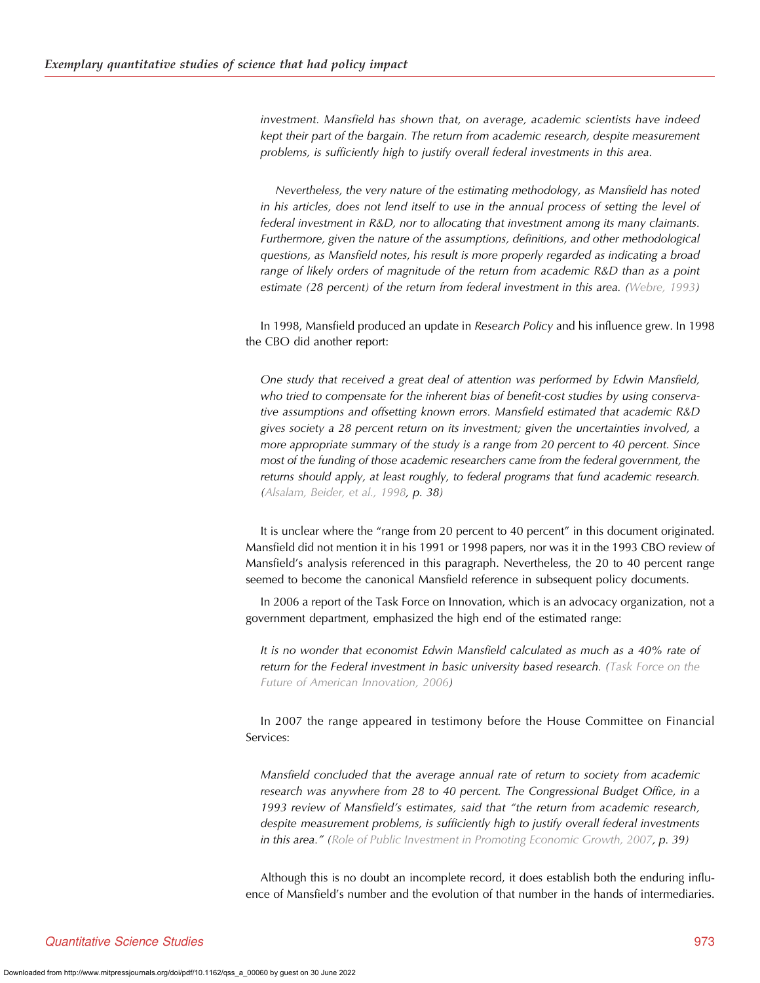investment. Mansfield has shown that, on average, academic scientists have indeed kept their part of the bargain. The return from academic research, despite measurement problems, is sufficiently high to justify overall federal investments in this area.

Nevertheless, the very nature of the estimating methodology, as Mansfield has noted in his articles, does not lend itself to use in the annual process of setting the level of federal investment in R&D, nor to allocating that investment among its many claimants. Furthermore, given the nature of the assumptions, definitions, and other methodological questions, as Mansfield notes, his result is more properly regarded as indicating a broad range of likely orders of magnitude of the return from academic R&D than as a point estimate (28 percent) of the return from federal investment in this area. [\(Webre, 1993](#page-13-0))

In 1998, Mansfield produced an update in Research Policy and his influence grew. In 1998 the CBO did another report:

One study that received a great deal of attention was performed by Edwin Mansfield, who tried to compensate for the inherent bias of benefit-cost studies by using conservative assumptions and offsetting known errors. Mansfield estimated that academic R&D gives society a 28 percent return on its investment; given the uncertainties involved, a more appropriate summary of the study is a range from 20 percent to 40 percent. Since most of the funding of those academic researchers came from the federal government, the returns should apply, at least roughly, to federal programs that fund academic research. ([Alsalam, Beider, et al., 1998](#page-11-0), p. 38)

It is unclear where the "range from 20 percent to 40 percent" in this document originated. Mansfield did not mention it in his 1991 or 1998 papers, nor was it in the 1993 CBO review of Mansfield's analysis referenced in this paragraph. Nevertheless, the 20 to 40 percent range seemed to become the canonical Mansfield reference in subsequent policy documents.

In 2006 a report of the Task Force on Innovation, which is an advocacy organization, not a government department, emphasized the high end of the estimated range:

It is no wonder that economist Edwin Mansfield calculated as much as a 40% rate of return for the Federal investment in basic university based research. [\(Task Force on the](#page-13-0) [Future of American Innovation, 2006\)](#page-13-0)

In 2007 the range appeared in testimony before the House Committee on Financial Services:

Mansfield concluded that the average annual rate of return to society from academic research was anywhere from 28 to 40 percent. The Congressional Budget Office, in a 1993 review of Mansfield's estimates, said that "the return from academic research, despite measurement problems, is sufficiently high to justify overall federal investments in this area." [\(Role of Public Investment in Promoting Economic Growth, 2007,](#page-13-0) p. 39)

Although this is no doubt an incomplete record, it does establish both the enduring influence of Mansfield's number and the evolution of that number in the hands of intermediaries.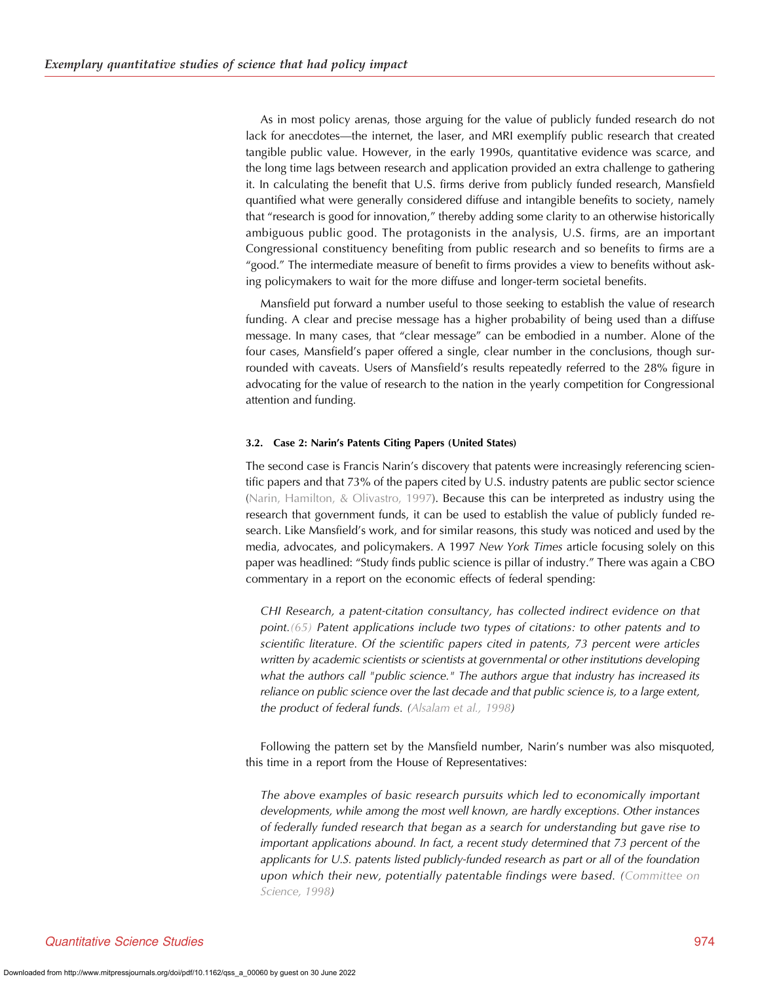As in most policy arenas, those arguing for the value of publicly funded research do not lack for anecdotes—the internet, the laser, and MRI exemplify public research that created tangible public value. However, in the early 1990s, quantitative evidence was scarce, and the long time lags between research and application provided an extra challenge to gathering it. In calculating the benefit that U.S. firms derive from publicly funded research, Mansfield quantified what were generally considered diffuse and intangible benefits to society, namely that "research is good for innovation," thereby adding some clarity to an otherwise historically ambiguous public good. The protagonists in the analysis, U.S. firms, are an important Congressional constituency benefiting from public research and so benefits to firms are a "good." The intermediate measure of benefit to firms provides a view to benefits without asking policymakers to wait for the more diffuse and longer-term societal benefits.

Mansfield put forward a number useful to those seeking to establish the value of research funding. A clear and precise message has a higher probability of being used than a diffuse message. In many cases, that "clear message" can be embodied in a number. Alone of the four cases, Mansfield's paper offered a single, clear number in the conclusions, though surrounded with caveats. Users of Mansfield's results repeatedly referred to the 28% figure in advocating for the value of research to the nation in the yearly competition for Congressional attention and funding.

## 3.2. Case 2: Narin's Patents Citing Papers (United States)

The second case is Francis Narin's discovery that patents were increasingly referencing scientific papers and that 73% of the papers cited by U.S. industry patents are public sector science (Narin, Hamilton,  $& Olivastro, 1997$ ). Because this can be interpreted as industry using the research that government funds, it can be used to establish the value of publicly funded research. Like Mansfield's work, and for similar reasons, this study was noticed and used by the media, advocates, and policymakers. A 1997 New York Times article focusing solely on this paper was headlined: "Study finds public science is pillar of industry." There was again a CBO commentary in a report on the economic effects of federal spending:

CHI Research, a patent-citation consultancy, has collected indirect evidence on that point.[\(65\)](https://doi.org/10.1162/qss_a_00060) Patent applications include two types of citations: to other patents and to scientific literature. Of the scientific papers cited in patents, 73 percent were articles written by academic scientists or scientists at governmental or other institutions developing what the authors call "public science." The authors argue that industry has increased its reliance on public science over the last decade and that public science is, to a large extent, the product of federal funds. [\(Alsalam et al., 1998](#page-11-0))

Following the pattern set by the Mansfield number, Narin's number was also misquoted, this time in a report from the House of Representatives:

The above examples of basic research pursuits which led to economically important developments, while among the most well known, are hardly exceptions. Other instances of federally funded research that began as a search for understanding but gave rise to important applications abound. In fact, a recent study determined that 73 percent of the applicants for U.S. patents listed publicly-funded research as part or all of the foundation upon which their new, potentially patentable findings were based. [\(Committee on](#page-12-0) [Science, 1998](#page-12-0))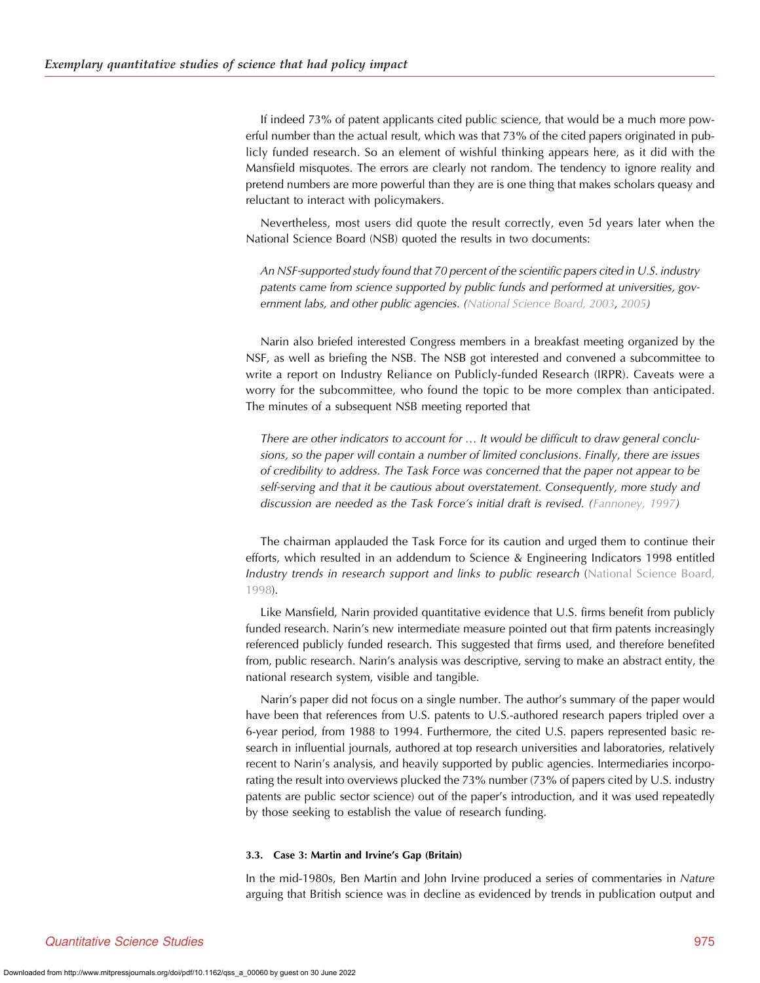If indeed 73% of patent applicants cited public science, that would be a much more powerful number than the actual result, which was that 73% of the cited papers originated in publicly funded research. So an element of wishful thinking appears here, as it did with the Mansfield misquotes. The errors are clearly not random. The tendency to ignore reality and pretend numbers are more powerful than they are is one thing that makes scholars queasy and reluctant to interact with policymakers.

Nevertheless, most users did quote the result correctly, even 5d years later when the National Science Board (NSB) quoted the results in two documents:

An NSF-supported study found that 70 percent of the scientific papers cited in U.S. industry patents came from science supported by public funds and performed at universities, gov-ernment labs, and other public agencies. ([National Science Board, 2003](#page-13-0), [2005\)](#page-13-0)

Narin also briefed interested Congress members in a breakfast meeting organized by the NSF, as well as briefing the NSB. The NSB got interested and convened a subcommittee to write a report on Industry Reliance on Publicly-funded Research (IRPR). Caveats were a worry for the subcommittee, who found the topic to be more complex than anticipated. The minutes of a subsequent NSB meeting reported that

There are other indicators to account for … It would be difficult to draw general conclusions, so the paper will contain a number of limited conclusions. Finally, there are issues of credibility to address. The Task Force was concerned that the paper not appear to be self-serving and that it be cautious about overstatement. Consequently, more study and discussion are needed as the Task Force's initial draft is revised. ([Fannoney, 1997](#page-12-0))

The chairman applauded the Task Force for its caution and urged them to continue their efforts, which resulted in an addendum to Science & Engineering Indicators 1998 entitled Industry trends in research support and links to public research ([National Science Board,](#page-13-0) [1998\)](#page-13-0).

Like Mansfield, Narin provided quantitative evidence that U.S. firms benefit from publicly funded research. Narin's new intermediate measure pointed out that firm patents increasingly referenced publicly funded research. This suggested that firms used, and therefore benefited from, public research. Narin's analysis was descriptive, serving to make an abstract entity, the national research system, visible and tangible.

Narin's paper did not focus on a single number. The author's summary of the paper would have been that references from U.S. patents to U.S.-authored research papers tripled over a 6-year period, from 1988 to 1994. Furthermore, the cited U.S. papers represented basic research in influential journals, authored at top research universities and laboratories, relatively recent to Narin's analysis, and heavily supported by public agencies. Intermediaries incorporating the result into overviews plucked the 73% number (73% of papers cited by U.S. industry patents are public sector science) out of the paper's introduction, and it was used repeatedly by those seeking to establish the value of research funding.

#### 3.3. Case 3: Martin and Irvine's Gap (Britain)

In the mid-1980s, Ben Martin and John Irvine produced a series of commentaries in Nature arguing that British science was in decline as evidenced by trends in publication output and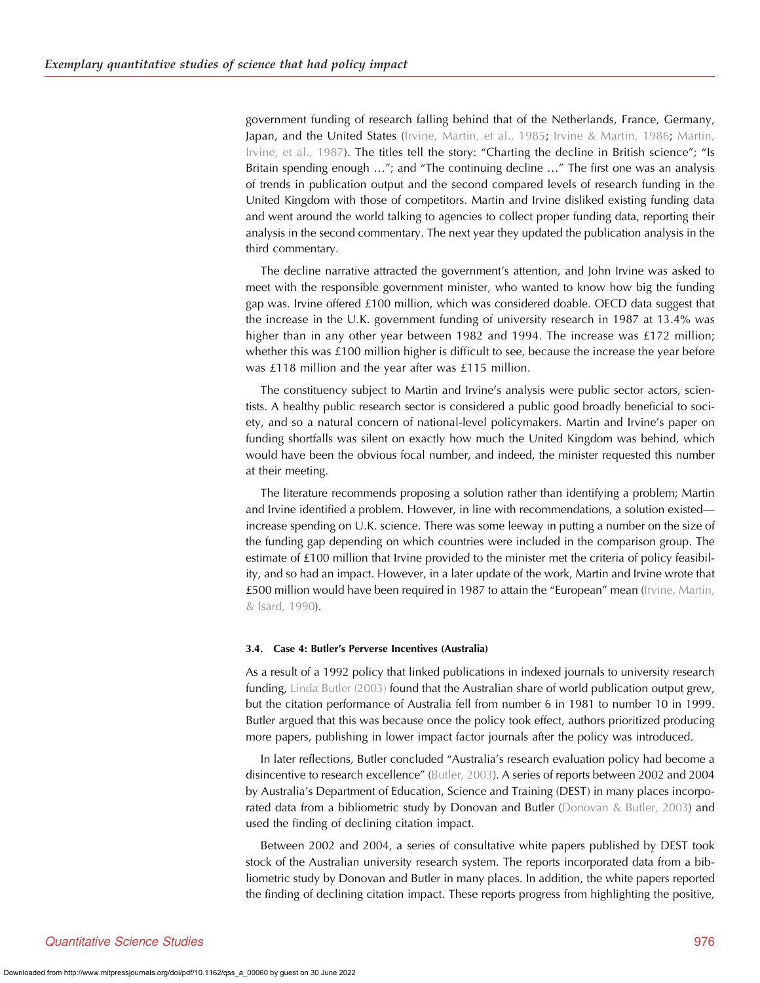government funding of research falling behind that of the Netherlands, France, Germany, Japan, and the United States ([Irvine, Martin, et al., 1985;](#page-12-0) [Irvine & Martin, 1986;](#page-12-0) [Martin,](#page-13-0) [Irvine, et al., 1987](#page-13-0)). The titles tell the story: "Charting the decline in British science"; "Is Britain spending enough …"; and "The continuing decline …" The first one was an analysis of trends in publication output and the second compared levels of research funding in the United Kingdom with those of competitors. Martin and Irvine disliked existing funding data and went around the world talking to agencies to collect proper funding data, reporting their analysis in the second commentary. The next year they updated the publication analysis in the third commentary.

The decline narrative attracted the government's attention, and John Irvine was asked to meet with the responsible government minister, who wanted to know how big the funding gap was. Irvine offered £100 million, which was considered doable. OECD data suggest that the increase in the U.K. government funding of university research in 1987 at 13.4% was higher than in any other year between 1982 and 1994. The increase was £172 million; whether this was £100 million higher is difficult to see, because the increase the year before was £118 million and the year after was £115 million.

The constituency subject to Martin and Irvine's analysis were public sector actors, scientists. A healthy public research sector is considered a public good broadly beneficial to society, and so a natural concern of national-level policymakers. Martin and Irvine's paper on funding shortfalls was silent on exactly how much the United Kingdom was behind, which would have been the obvious focal number, and indeed, the minister requested this number at their meeting.

The literature recommends proposing a solution rather than identifying a problem; Martin and Irvine identified a problem. However, in line with recommendations, a solution existed increase spending on U.K. science. There was some leeway in putting a number on the size of the funding gap depending on which countries were included in the comparison group. The estimate of £100 million that Irvine provided to the minister met the criteria of policy feasibility, and so had an impact. However, in a later update of the work, Martin and Irvine wrote that £500 million would have been required in 1987 to attain the "European" mean [\(Irvine, Martin,](#page-12-0) [& Isard, 1990\)](#page-12-0).

## 3.4. Case 4: Butler's Perverse Incentives (Australia)

As a result of a 1992 policy that linked publications in indexed journals to university research funding, [Linda Butler \(2003\)](#page-12-0) found that the Australian share of world publication output grew, but the citation performance of Australia fell from number 6 in 1981 to number 10 in 1999. Butler argued that this was because once the policy took effect, authors prioritized producing more papers, publishing in lower impact factor journals after the policy was introduced.

In later reflections, Butler concluded "Australia's research evaluation policy had become a disincentive to research excellence" ([Butler, 2003](#page-12-0)). A series of reports between 2002 and 2004 by Australia's Department of Education, Science and Training (DEST) in many places incorporated data from a bibliometric study by Donovan and Butler ([Donovan & Butler, 2003\)](#page-12-0) and used the finding of declining citation impact.

Between 2002 and 2004, a series of consultative white papers published by DEST took stock of the Australian university research system. The reports incorporated data from a bibliometric study by Donovan and Butler in many places. In addition, the white papers reported the finding of declining citation impact. These reports progress from highlighting the positive,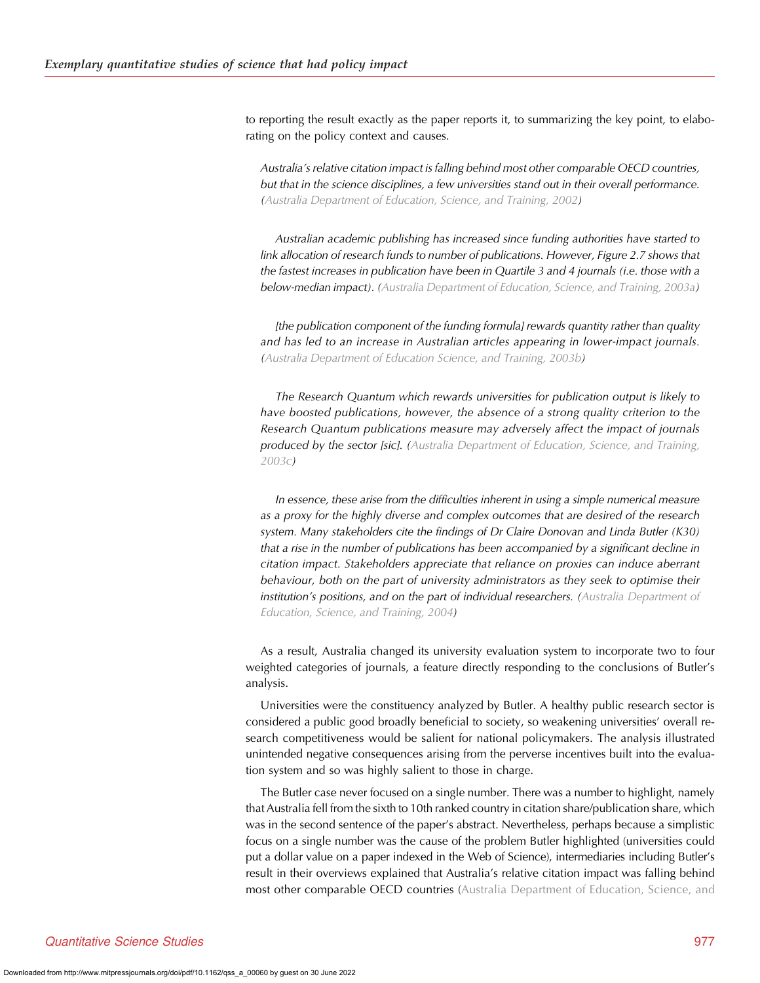to reporting the result exactly as the paper reports it, to summarizing the key point, to elaborating on the policy context and causes.

Australia's relative citation impact is falling behind most other comparable OECD countries, but that in the science disciplines, a few universities stand out in their overall performance. ([Australia Department of Education, Science, and Training, 2002\)](#page-11-0)

Australian academic publishing has increased since funding authorities have started to link allocation of research funds to number of publications. However, Figure 2.7 shows that the fastest increases in publication have been in Quartile 3 and 4 journals (i.e. those with a below-median impact). [\(Australia Department of Education, Science, and Training, 2003a](#page-11-0))

[the publication component of the funding formula] rewards quantity rather than quality and has led to an increase in Australian articles appearing in lower-impact journals. ([Australia Department of Education Science, and Training, 2003b](#page-11-0))

The Research Quantum which rewards universities for publication output is likely to have boosted publications, however, the absence of a strong quality criterion to the Research Quantum publications measure may adversely affect the impact of journals produced by the sector [sic]. [\(Australia Department of Education, Science, and Training,](#page-12-0) [2003c](#page-12-0))

In essence, these arise from the difficulties inherent in using a simple numerical measure as a proxy for the highly diverse and complex outcomes that are desired of the research system. Many stakeholders cite the findings of Dr Claire Donovan and Linda Butler (K30) that a rise in the number of publications has been accompanied by a significant decline in citation impact. Stakeholders appreciate that reliance on proxies can induce aberrant behaviour, both on the part of university administrators as they seek to optimise their institution's positions, and on the part of individual researchers. ([Australia Department of](#page-12-0) Education, Science, and Training, 2004)

As a result, Australia changed its university evaluation system to incorporate two to four weighted categories of journals, a feature directly responding to the conclusions of Butler's analysis.

Universities were the constituency analyzed by Butler. A healthy public research sector is considered a public good broadly beneficial to society, so weakening universities' overall research competitiveness would be salient for national policymakers. The analysis illustrated unintended negative consequences arising from the perverse incentives built into the evaluation system and so was highly salient to those in charge.

The Butler case never focused on a single number. There was a number to highlight, namely that Australia fell from the sixth to 10th ranked country in citation share/publication share, which was in the second sentence of the paper's abstract. Nevertheless, perhaps because a simplistic focus on a single number was the cause of the problem Butler highlighted (universities could put a dollar value on a paper indexed in the Web of Science), intermediaries including Butler's result in their overviews explained that Australia's relative citation impact was falling behind most other comparable OECD countries ([Australia Department of Education, Science, and](#page-11-0)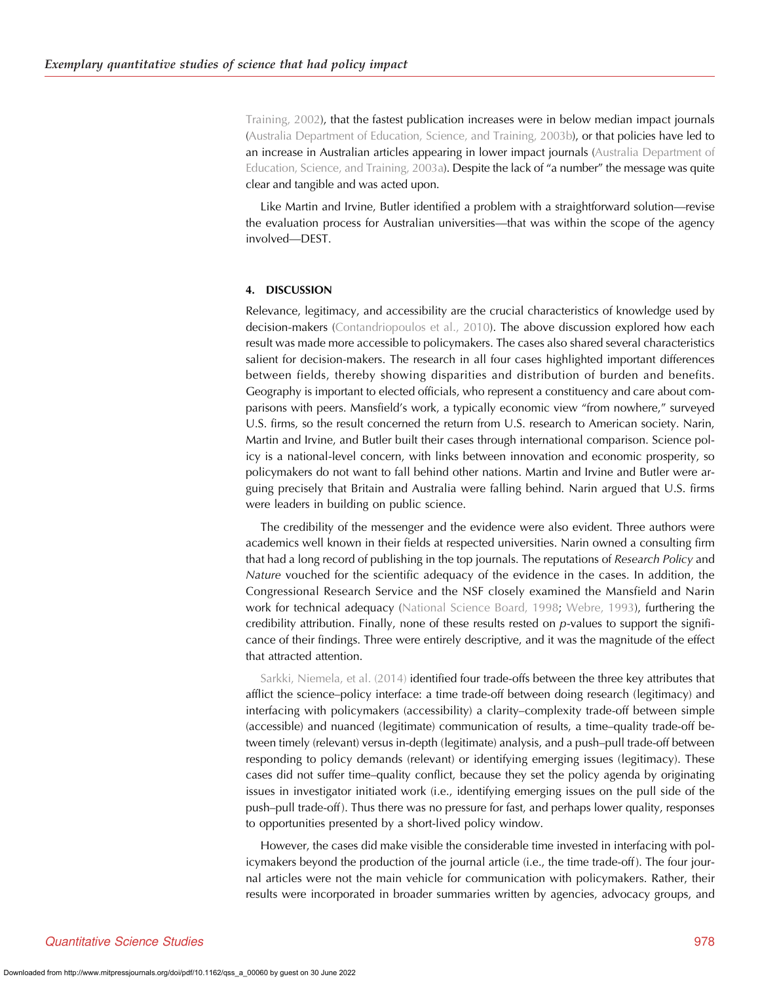[Training, 2002](#page-11-0)), that the fastest publication increases were in below median impact journals [\(Australia Department of Education, Science, and Training, 2003b](#page-11-0)), or that policies have led to an increase in Australian articles appearing in lower impact journals ([Australia Department of](#page-11-0) [Education, Science, and Training, 2003a](#page-11-0)). Despite the lack of "a number" the message was quite clear and tangible and was acted upon.

Like Martin and Irvine, Butler identified a problem with a straightforward solution—revise the evaluation process for Australian universities—that was within the scope of the agency involved—DEST.

## 4. DISCUSSION

Relevance, legitimacy, and accessibility are the crucial characteristics of knowledge used by decision-makers [\(Contandriopoulos et al., 2010\)](#page-12-0). The above discussion explored how each result was made more accessible to policymakers. The cases also shared several characteristics salient for decision-makers. The research in all four cases highlighted important differences between fields, thereby showing disparities and distribution of burden and benefits. Geography is important to elected officials, who represent a constituency and care about comparisons with peers. Mansfield's work, a typically economic view "from nowhere," surveyed U.S. firms, so the result concerned the return from U.S. research to American society. Narin, Martin and Irvine, and Butler built their cases through international comparison. Science policy is a national-level concern, with links between innovation and economic prosperity, so policymakers do not want to fall behind other nations. Martin and Irvine and Butler were arguing precisely that Britain and Australia were falling behind. Narin argued that U.S. firms were leaders in building on public science.

The credibility of the messenger and the evidence were also evident. Three authors were academics well known in their fields at respected universities. Narin owned a consulting firm that had a long record of publishing in the top journals. The reputations of Research Policy and Nature vouched for the scientific adequacy of the evidence in the cases. In addition, the Congressional Research Service and the NSF closely examined the Mansfield and Narin work for technical adequacy ([National Science Board, 1998](#page-13-0); [Webre, 1993](#page-13-0)), furthering the credibility attribution. Finally, none of these results rested on  $p$ -values to support the significance of their findings. Three were entirely descriptive, and it was the magnitude of the effect that attracted attention.

[Sarkki, Niemela, et al. \(2014\)](#page-13-0) identified four trade-offs between the three key attributes that afflict the science–policy interface: a time trade-off between doing research (legitimacy) and interfacing with policymakers (accessibility) a clarity–complexity trade-off between simple (accessible) and nuanced (legitimate) communication of results, a time–quality trade-off between timely (relevant) versus in-depth (legitimate) analysis, and a push–pull trade-off between responding to policy demands (relevant) or identifying emerging issues (legitimacy). These cases did not suffer time–quality conflict, because they set the policy agenda by originating issues in investigator initiated work (i.e., identifying emerging issues on the pull side of the push–pull trade-off ). Thus there was no pressure for fast, and perhaps lower quality, responses to opportunities presented by a short-lived policy window.

However, the cases did make visible the considerable time invested in interfacing with policymakers beyond the production of the journal article (i.e., the time trade-off). The four journal articles were not the main vehicle for communication with policymakers. Rather, their results were incorporated in broader summaries written by agencies, advocacy groups, and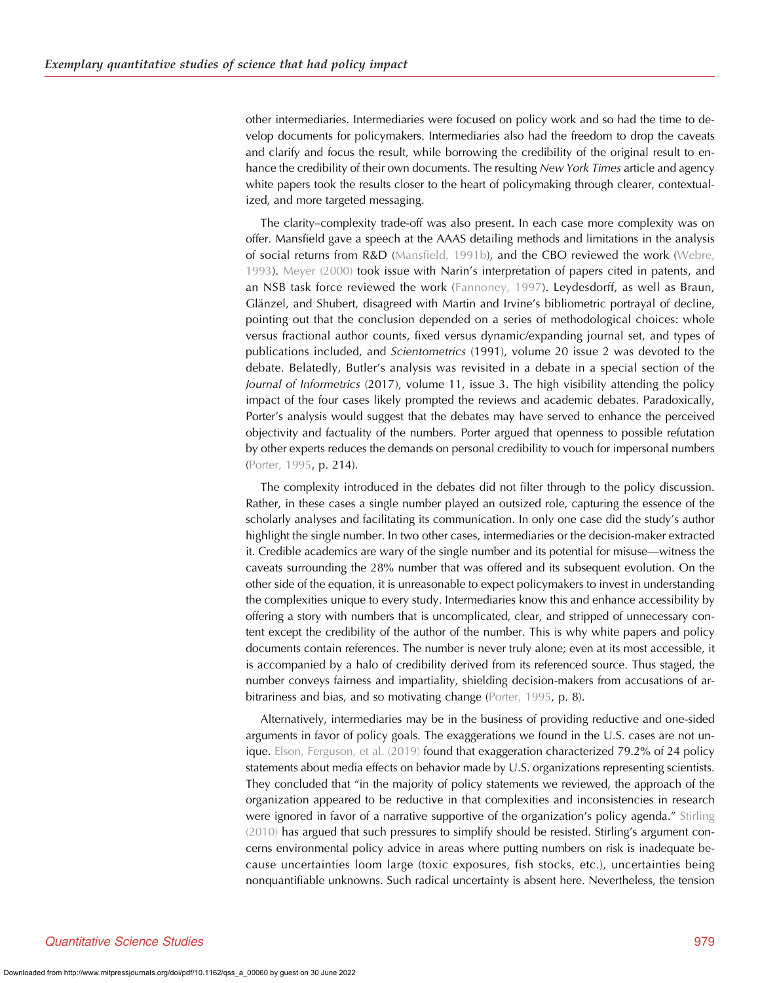other intermediaries. Intermediaries were focused on policy work and so had the time to develop documents for policymakers. Intermediaries also had the freedom to drop the caveats and clarify and focus the result, while borrowing the credibility of the original result to enhance the credibility of their own documents. The resulting New York Times article and agency white papers took the results closer to the heart of policymaking through clearer, contextualized, and more targeted messaging.

The clarity–complexity trade-off was also present. In each case more complexity was on offer. Mansfield gave a speech at the AAAS detailing methods and limitations in the analysis of social returns from R&D [\(Mansfield, 1991b](#page-12-0)), and the CBO reviewed the work ([Webre,](#page-13-0) [1993](#page-13-0)). [Meyer \(2000\)](#page-13-0) took issue with Narin's interpretation of papers cited in patents, and an NSB task force reviewed the work ([Fannoney, 1997\)](#page-12-0). Leydesdorff, as well as Braun, Glänzel, and Shubert, disagreed with Martin and Irvine's bibliometric portrayal of decline, pointing out that the conclusion depended on a series of methodological choices: whole versus fractional author counts, fixed versus dynamic/expanding journal set, and types of publications included, and Scientometrics (1991), volume 20 issue 2 was devoted to the debate. Belatedly, Butler's analysis was revisited in a debate in a special section of the Journal of Informetrics (2017), volume 11, issue 3. The high visibility attending the policy impact of the four cases likely prompted the reviews and academic debates. Paradoxically, Porter's analysis would suggest that the debates may have served to enhance the perceived objectivity and factuality of the numbers. Porter argued that openness to possible refutation by other experts reduces the demands on personal credibility to vouch for impersonal numbers ([Porter, 1995](#page-13-0), p. 214).

The complexity introduced in the debates did not filter through to the policy discussion. Rather, in these cases a single number played an outsized role, capturing the essence of the scholarly analyses and facilitating its communication. In only one case did the study's author highlight the single number. In two other cases, intermediaries or the decision-maker extracted it. Credible academics are wary of the single number and its potential for misuse—witness the caveats surrounding the 28% number that was offered and its subsequent evolution. On the other side of the equation, it is unreasonable to expect policymakers to invest in understanding the complexities unique to every study. Intermediaries know this and enhance accessibility by offering a story with numbers that is uncomplicated, clear, and stripped of unnecessary content except the credibility of the author of the number. This is why white papers and policy documents contain references. The number is never truly alone; even at its most accessible, it is accompanied by a halo of credibility derived from its referenced source. Thus staged, the number conveys fairness and impartiality, shielding decision-makers from accusations of arbitrariness and bias, and so motivating change ([Porter, 1995](#page-13-0), p. 8).

Alternatively, intermediaries may be in the business of providing reductive and one-sided arguments in favor of policy goals. The exaggerations we found in the U.S. cases are not un-ique. [Elson, Ferguson, et al. \(2019\)](#page-12-0) found that exaggeration characterized 79.2% of 24 policy statements about media effects on behavior made by U.S. organizations representing scientists. They concluded that "in the majority of policy statements we reviewed, the approach of the organization appeared to be reductive in that complexities and inconsistencies in research were ignored in favor of a narrative supportive of the organization's policy agenda." [Stirling](#page-13-0) [\(2010\)](#page-13-0) has argued that such pressures to simplify should be resisted. Stirling's argument concerns environmental policy advice in areas where putting numbers on risk is inadequate because uncertainties loom large (toxic exposures, fish stocks, etc.), uncertainties being nonquantifiable unknowns. Such radical uncertainty is absent here. Nevertheless, the tension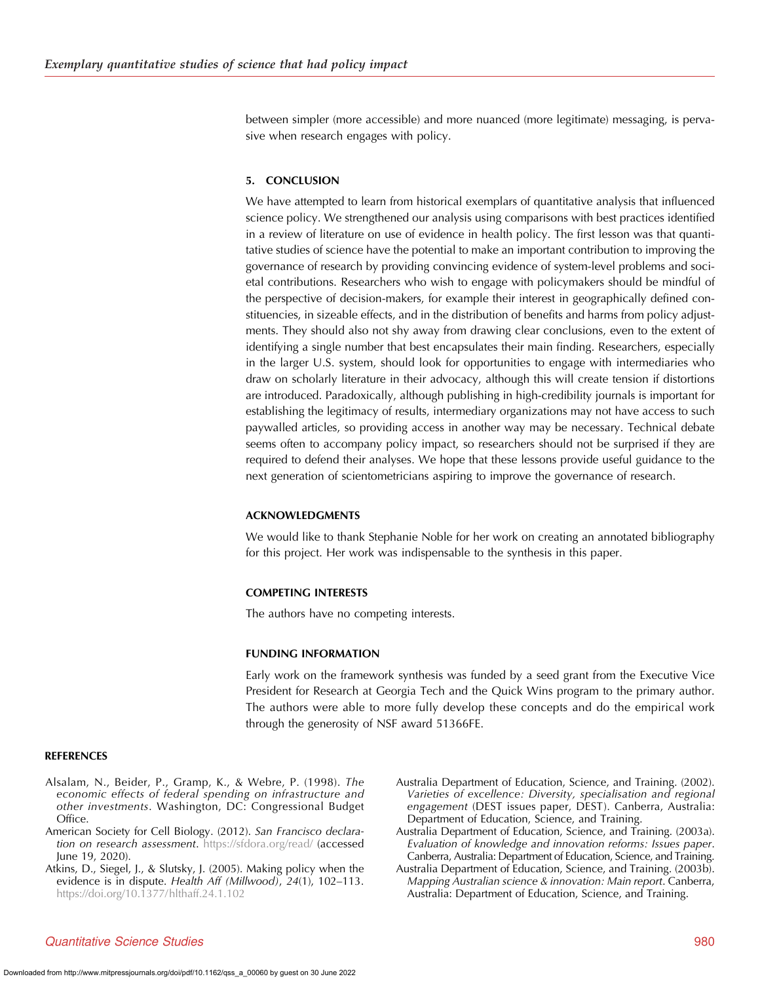<span id="page-11-0"></span>between simpler (more accessible) and more nuanced (more legitimate) messaging, is pervasive when research engages with policy.

## 5. CONCLUSION

We have attempted to learn from historical exemplars of quantitative analysis that influenced science policy. We strengthened our analysis using comparisons with best practices identified in a review of literature on use of evidence in health policy. The first lesson was that quantitative studies of science have the potential to make an important contribution to improving the governance of research by providing convincing evidence of system-level problems and societal contributions. Researchers who wish to engage with policymakers should be mindful of the perspective of decision-makers, for example their interest in geographically defined constituencies, in sizeable effects, and in the distribution of benefits and harms from policy adjustments. They should also not shy away from drawing clear conclusions, even to the extent of identifying a single number that best encapsulates their main finding. Researchers, especially in the larger U.S. system, should look for opportunities to engage with intermediaries who draw on scholarly literature in their advocacy, although this will create tension if distortions are introduced. Paradoxically, although publishing in high-credibility journals is important for establishing the legitimacy of results, intermediary organizations may not have access to such paywalled articles, so providing access in another way may be necessary. Technical debate seems often to accompany policy impact, so researchers should not be surprised if they are required to defend their analyses. We hope that these lessons provide useful guidance to the next generation of scientometricians aspiring to improve the governance of research.

## ACKNOWLEDGMENTS

We would like to thank Stephanie Noble for her work on creating an annotated bibliography for this project. Her work was indispensable to the synthesis in this paper.

## COMPETING INTERESTS

The authors have no competing interests.

#### FUNDING INFORMATION

Early work on the framework synthesis was funded by a seed grant from the Executive Vice President for Research at Georgia Tech and the Quick Wins program to the primary author. The authors were able to more fully develop these concepts and do the empirical work through the generosity of NSF award 51366FE.

#### **REFERENCES**

- Alsalam, N., Beider, P., Gramp, K., & Webre, P. (1998). The economic effects of federal spending on infrastructure and other investments. Washington, DC: Congressional Budget Office.
- American Society for Cell Biology. (2012). San Francisco declaration on research assessment. <https://sfdora.org/read/> (accessed June 19, 2020).
- Atkins, D., Siegel, J., & Slutsky, J. (2005). Making policy when the evidence is in dispute. Health Aff (Millwood), 24(1), 102-113. <https://doi.org/10.1377/hlthaff.24.1.102>
- Australia Department of Education, Science, and Training. (2002). Varieties of excellence: Diversity, specialisation and regional engagement (DEST issues paper, DEST). Canberra, Australia: Department of Education, Science, and Training.
- Australia Department of Education, Science, and Training. (2003a). Evaluation of knowledge and innovation reforms: Issues paper. Canberra, Australia: Department of Education, Science, and Training.
- Australia Department of Education, Science, and Training. (2003b). Mapping Australian science & innovation: Main report. Canberra, Australia: Department of Education, Science, and Training.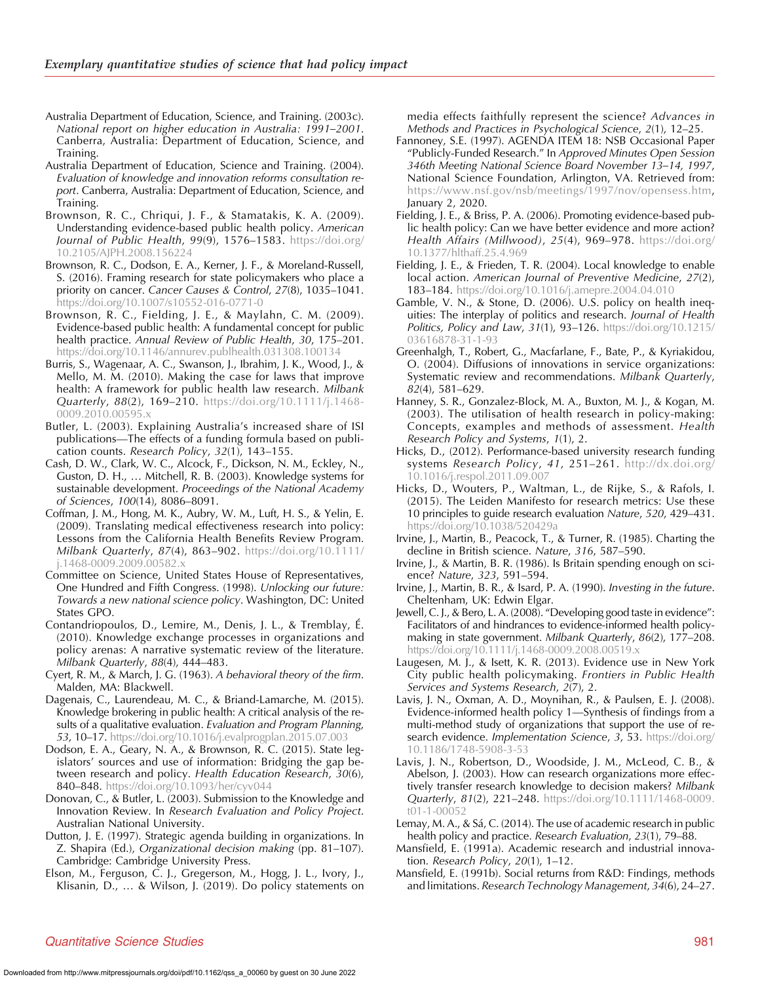- <span id="page-12-0"></span>Australia Department of Education, Science, and Training. (2003c). National report on higher education in Australia: 1991–2001. Canberra, Australia: Department of Education, Science, and Training.
- Australia Department of Education, Science and Training. (2004). Evaluation of knowledge and innovation reforms consultation report. Canberra, Australia: Department of Education, Science, and Training.
- Brownson, R. C., Chriqui, J. F., & Stamatakis, K. A. (2009). Understanding evidence-based public health policy. American Journal of Public Health, 99(9), 1576-1583. [https://doi.org/](https://doi.org/10.2105/AJPH.2008.156224) [10.2105/AJPH.2008.156224](https://doi.org/10.2105/AJPH.2008.156224)
- Brownson, R. C., Dodson, E. A., Kerner, J. F., & Moreland-Russell, S. (2016). Framing research for state policymakers who place a priority on cancer. Cancer Causes & Control, 27(8), 1035–1041. <https://doi.org/10.1007/s10552-016-0771-0>
- Brownson, R. C., Fielding, J. E., & Maylahn, C. M. (2009). Evidence-based public health: A fundamental concept for public health practice. Annual Review of Public Health, 30, 175–201. <https://doi.org/10.1146/annurev.publhealth.031308.100134>
- Burris, S., Wagenaar, A. C., Swanson, J., Ibrahim, J. K., Wood, J., & Mello, M. M. (2010). Making the case for laws that improve health: A framework for public health law research. Milbank Quarterly, 88(2), 169–210. [https://doi.org/10.1111/j.1468-](https://doi.org/10.1111/j.1468-0009.2010.00595.x) [0009.2010.00595.x](https://doi.org/10.1111/j.1468-0009.2010.00595.x)
- Butler, L. (2003). Explaining Australia's increased share of ISI publications—The effects of a funding formula based on publication counts. Research Policy, 32(1), 143–155.
- Cash, D. W., Clark, W. C., Alcock, F., Dickson, N. M., Eckley, N., Guston, D. H., … Mitchell, R. B. (2003). Knowledge systems for sustainable development. Proceedings of the National Academy of Sciences, 100(14), 8086–8091.
- Coffman, J. M., Hong, M. K., Aubry, W. M., Luft, H. S., & Yelin, E. (2009). Translating medical effectiveness research into policy: Lessons from the California Health Benefits Review Program. Milbank Quarterly, 87(4), 863–902. [https://doi.org/10.1111/](https://doi.org/10.1111/j.1468-0009.2009.00582.x) j.1468-0009.2009.00582.
- Committee on Science, United States House of Representatives, One Hundred and Fifth Congress. (1998). Unlocking our future: Towards a new national science policy. Washington, DC: United States GPO.
- Contandriopoulos, D., Lemire, M., Denis, J. L., & Tremblay, É. (2010). Knowledge exchange processes in organizations and policy arenas: A narrative systematic review of the literature. Milbank Quarterly, 88(4), 444–483.
- Cyert, R. M., & March, J. G. (1963). A behavioral theory of the firm. Malden, MA: Blackwell.
- Dagenais, C., Laurendeau, M. C., & Briand-Lamarche, M. (2015). Knowledge brokering in public health: A critical analysis of the results of a qualitative evaluation. Evaluation and Program Planning, 53, 10–17. <https://doi.org/10.1016/j.evalprogplan.2015.07.003>
- Dodson, E. A., Geary, N. A., & Brownson, R. C. (2015). State legislators' sources and use of information: Bridging the gap between research and policy. Health Education Research, 30(6), 840–848. <https://doi.org/10.1093/her/cyv044>
- Donovan, C., & Butler, L. (2003). Submission to the Knowledge and Innovation Review. In Research Evaluation and Policy Project. Australian National University.
- Dutton, J. E. (1997). Strategic agenda building in organizations. In Z. Shapira (Ed.), Organizational decision making (pp. 81–107). Cambridge: Cambridge University Press.
- Elson, M., Ferguson, C. J., Gregerson, M., Hogg, J. L., Ivory, J., Klisanin, D., … & Wilson, J. (2019). Do policy statements on

media effects faithfully represent the science? Advances in Methods and Practices in Psychological Science, 2(1), 12–25.

- Fannoney, S.E. (1997). AGENDA ITEM 18: NSB Occasional Paper "Publicly-Funded Research." In Approved Minutes Open Session 346th Meeting National Science Board November 13–14, 1997, National Science Foundation, Arlington, VA. Retrieved from: [https://www.nsf.gov/nsb/meetings/1997/nov/opensess.htm,](https://www.nsf.gov/nsb/meetings/1997/nov/opensess.htm) January 2, 2020.
- Fielding, J. E., & Briss, P. A. (2006). Promoting evidence-based public health policy: Can we have better evidence and more action? Health Affairs (Millwood), 25(4), 969–978. [https://doi.org/](https://doi.org/10.1377/hlthaff.25.4.969) [10.1377/hlthaff.25.4.969](https://doi.org/10.1377/hlthaff.25.4.969)
- Fielding, J. E., & Frieden, T. R. (2004). Local knowledge to enable local action. American Journal of Preventive Medicine, 27(2), 183–184. <https://doi.org/10.1016/j.amepre.2004.04.010>
- Gamble, V. N., & Stone, D. (2006). U.S. policy on health inequities: The interplay of politics and research. Journal of Health Politics, Policy and Law, 31(1), 93-126. [https://doi.org/10.1215/](https://doi.org/10.1215/03616878-31-1-93) [03616878-31-1-93](https://doi.org/10.1215/03616878-31-1-93)
- Greenhalgh, T., Robert, G., Macfarlane, F., Bate, P., & Kyriakidou, O. (2004). Diffusions of innovations in service organizations: Systematic review and recommendations. Milbank Quarterly, 82(4), 581–629.
- Hanney, S. R., Gonzalez-Block, M. A., Buxton, M. J., & Kogan, M. (2003). The utilisation of health research in policy-making: Concepts, examples and methods of assessment. Health Research Policy and Systems, 1(1), 2.
- Hicks, D., (2012). Performance-based university research funding systems Research Policy, 41, 251-261. [http://dx.doi.org/](http://dx.doi.org/10.1016/j.respol.2011.09.007) [10.1016/j.respol.2011.09.007](http://dx.doi.org/10.1016/j.respol.2011.09.007)
- Hicks, D., Wouters, P., Waltman, L., de Rijke, S., & Rafols, I. (2015). The Leiden Manifesto for research metrics: Use these 10 principles to guide research evaluation Nature, 520, 429–431. <https://doi.org/10.1038/520429a>
- Irvine, J., Martin, B., Peacock, T., & Turner, R. (1985). Charting the decline in British science. Nature, 316, 587–590.
- Irvine, J., & Martin, B. R. (1986). Is Britain spending enough on science? Nature, 323, 591–594.
- Irvine, J., Martin, B. R., & Isard, P. A. (1990). Investing in the future. Cheltenham, UK: Edwin Elgar.
- Jewell, C. J., & Bero, L. A. (2008). "Developing good taste in evidence": Facilitators of and hindrances to evidence-informed health policymaking in state government. Milbank Quarterly, 86(2), 177–208. <https://doi.org/10.1111/j.1468-0009.2008.00519.x>
- Laugesen, M. J., & Isett, K. R. (2013). Evidence use in New York City public health policymaking. Frontiers in Public Health Services and Systems Research, 2(7), 2.
- Lavis, J. N., Oxman, A. D., Moynihan, R., & Paulsen, E. J. (2008). Evidence-informed health policy 1—Synthesis of findings from a multi-method study of organizations that support the use of research evidence. Implementation Science, 3, 53. [https://doi.org/](https://doi.org/10.1186/1748-5908-3-53) [10.1186/1748-5908-3-53](https://doi.org/10.1186/1748-5908-3-53)
- Lavis, J. N., Robertson, D., Woodside, J. M., McLeod, C. B., & Abelson, J. (2003). How can research organizations more effectively transfer research knowledge to decision makers? Milbank Quarterly, 81(2), 221-248. [https://doi.org/10.1111/1468-0009.](https://doi.org/10.1111/1468-0009.t01-1-00052)  $t01-1-000$
- Lemay, M. A., & Sá, C. (2014). The use of academic research in public health policy and practice. Research Evaluation, 23(1), 79–88.
- Mansfield, E. (1991a). Academic research and industrial innovation. Research Policy, 20(1), 1–12.
- Mansfield, E. (1991b). Social returns from R&D: Findings, methods and limitations. Research Technology Management, 34(6), 24–27.